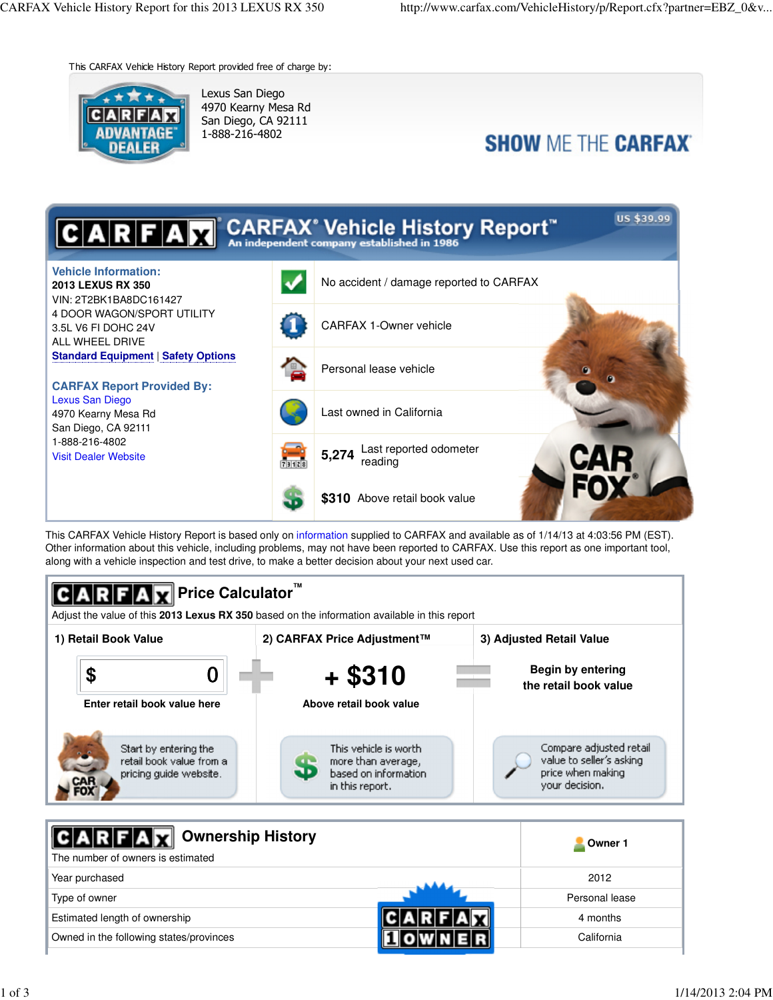This CARFAX Vehicle History Report provided free of charge by:



Lexus San Diego 4970 Kearny Mesa Rd San Diego, CA 92111 1-888-216-4802

# **SHOW ME THE CARFAX**



This CARFAX Vehicle History Report is based only on information supplied to CARFAX and available as of 1/14/13 at 4:03:56 PM (EST). Other information about this vehicle, including problems, may not have been reported to CARFAX. Use this report as one important tool, along with a vehicle inspection and test drive, to make a better decision about your next used car.



| Ownership History<br>The number of owners is estimated | Owner 1        |
|--------------------------------------------------------|----------------|
| Year purchased                                         | 2012           |
| Type of owner                                          | Personal lease |
| Estimated length of ownership                          | 4 months       |
| Owned in the following states/provinces                | California     |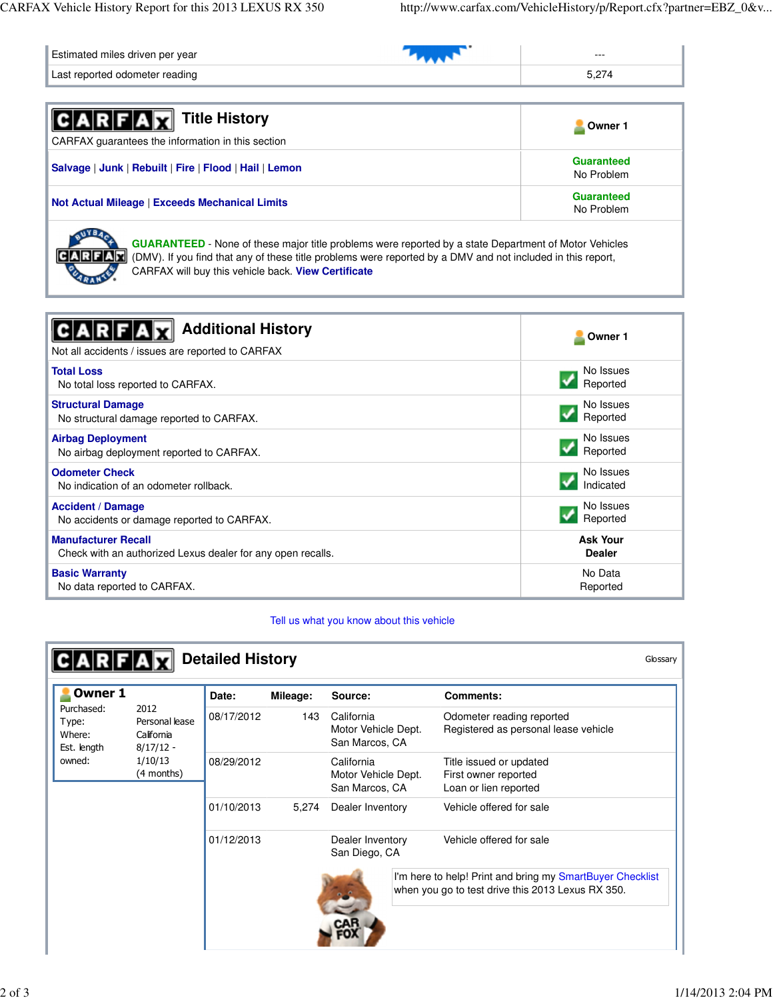| Estimated miles driven per year | $- - -$ |
|---------------------------------|---------|
| Last reported odometer reading  |         |

| <b>ARFAX</b> Title History<br>CARFAX guarantees the information in this section | Owner 1                  |
|---------------------------------------------------------------------------------|--------------------------|
| Salvage   Junk   Rebuilt   Fire   Flood   Hail   Lemon                          | Guaranteed<br>No Problem |
| <b>Not Actual Mileage   Exceeds Mechanical Limits</b>                           | Guaranteed<br>No Problem |
| $\sim$ 17 m $^{-1}$                                                             |                          |



**GUARANTEED** - None of these major title problems were reported by a state Department of Motor Vehicles (DMV). If you find that any of these title problems were reported by a DMV and not included in this report, CARFAX will buy this vehicle back. **View Certificate**

| <b>Additional History</b><br><b>RFA</b><br>Not all accidents / issues are reported to CARFAX | Owner 1         |
|----------------------------------------------------------------------------------------------|-----------------|
| <b>Total Loss</b>                                                                            | No Issues       |
| No total loss reported to CARFAX.                                                            | Reported        |
| <b>Structural Damage</b>                                                                     | No Issues       |
| No structural damage reported to CARFAX.                                                     | Reported        |
| <b>Airbag Deployment</b>                                                                     | No Issues       |
| No airbag deployment reported to CARFAX.                                                     | Reported        |
| <b>Odometer Check</b>                                                                        | No Issues       |
| No indication of an odometer rollback.                                                       | Indicated       |
| <b>Accident / Damage</b>                                                                     | No Issues       |
| No accidents or damage reported to CARFAX.                                                   | Reported        |
| <b>Manufacturer Recall</b>                                                                   | <b>Ask Your</b> |
| Check with an authorized Lexus dealer for any open recalls.                                  | <b>Dealer</b>   |
| <b>Basic Warranty</b>                                                                        | No Data         |
| No data reported to CARFAX.                                                                  | Reported        |

Tell us what you know about this vehicle

| Owner 1                                      |                                                     | Date:      | Mileage:                                            | Source:                                                                  | <b>Comments:</b>                                                                                               |
|----------------------------------------------|-----------------------------------------------------|------------|-----------------------------------------------------|--------------------------------------------------------------------------|----------------------------------------------------------------------------------------------------------------|
| Purchased:<br>Type:<br>Where:<br>Est. length | 2012<br>Personal lease<br>California<br>$8/17/12 -$ | 08/17/2012 | 143                                                 | California<br>Motor Vehicle Dept.<br>San Marcos, CA                      | Odometer reading reported<br>Registered as personal lease vehicle                                              |
| 1/10/13<br>owned:<br>(4 months)              | 08/29/2012                                          |            | California<br>Motor Vehicle Dept.<br>San Marcos, CA | Title issued or updated<br>First owner reported<br>Loan or lien reported |                                                                                                                |
|                                              |                                                     | 01/10/2013 | 5,274                                               | Dealer Inventory                                                         | Vehicle offered for sale                                                                                       |
|                                              |                                                     | 01/12/2013 |                                                     | Dealer Inventory<br>San Diego, CA                                        | Vehicle offered for sale                                                                                       |
|                                              |                                                     |            |                                                     |                                                                          | I'm here to help! Print and bring my SmartBuyer Checklist<br>when you go to test drive this 2013 Lexus RX 350. |